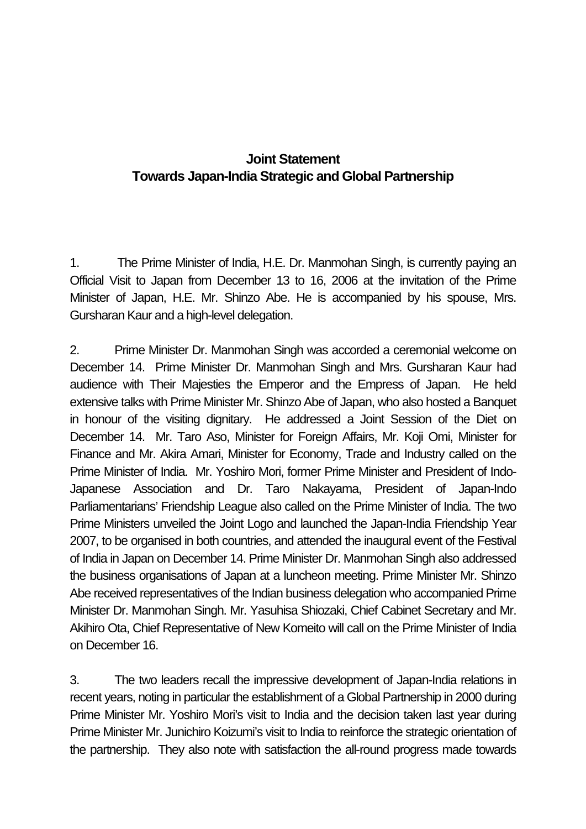# **Joint Statement Towards Japan-India Strategic and Global Partnership**

1. The Prime Minister of India, H.E. Dr. Manmohan Singh, is currently paying an Official Visit to Japan from December 13 to 16, 2006 at the invitation of the Prime Minister of Japan, H.E. Mr. Shinzo Abe. He is accompanied by his spouse, Mrs. Gursharan Kaur and a high-level delegation.

2. Prime Minister Dr. Manmohan Singh was accorded a ceremonial welcome on December 14. Prime Minister Dr. Manmohan Singh and Mrs. Gursharan Kaur had audience with Their Majesties the Emperor and the Empress of Japan. He held extensive talks with Prime Minister Mr. Shinzo Abe of Japan, who also hosted a Banquet in honour of the visiting dignitary. He addressed a Joint Session of the Diet on December 14. Mr. Taro Aso, Minister for Foreign Affairs, Mr. Koji Omi, Minister for Finance and Mr. Akira Amari, Minister for Economy, Trade and Industry called on the Prime Minister of India. Mr. Yoshiro Mori, former Prime Minister and President of Indo-Japanese Association and Dr. Taro Nakayama, President of Japan-Indo Parliamentarians' Friendship League also called on the Prime Minister of India. The two Prime Ministers unveiled the Joint Logo and launched the Japan-India Friendship Year 2007, to be organised in both countries, and attended the inaugural event of the Festival of India in Japan on December 14. Prime Minister Dr. Manmohan Singh also addressed the business organisations of Japan at a luncheon meeting. Prime Minister Mr. Shinzo Abe received representatives of the Indian business delegation who accompanied Prime Minister Dr. Manmohan Singh. Mr. Yasuhisa Shiozaki, Chief Cabinet Secretary and Mr. Akihiro Ota, Chief Representative of New Komeito will call on the Prime Minister of India on December 16.

3. The two leaders recall the impressive development of Japan-India relations in recent years, noting in particular the establishment of a Global Partnership in 2000 during Prime Minister Mr. Yoshiro Mori's visit to India and the decision taken last year during Prime Minister Mr. Junichiro Koizumi's visit to India to reinforce the strategic orientation of the partnership. They also note with satisfaction the all-round progress made towards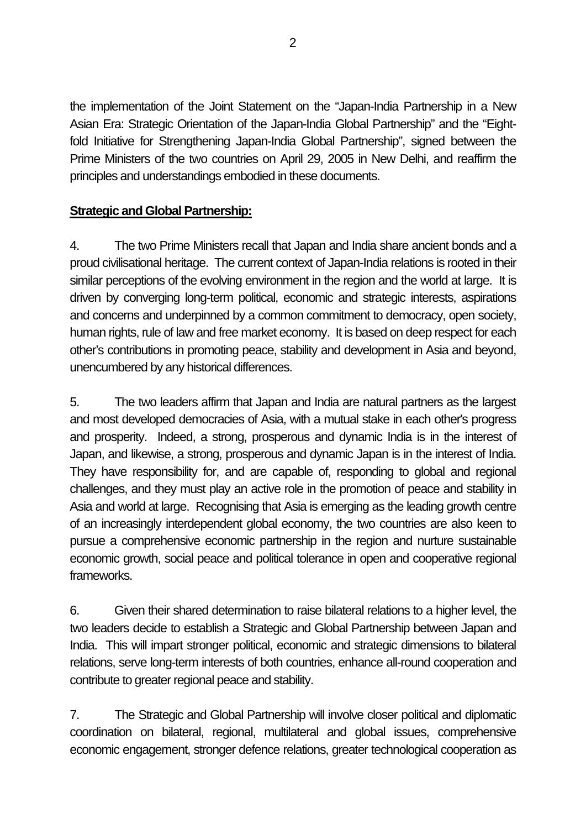the implementation of the Joint Statement on the "Japan-India Partnership in a New Asian Era: Strategic Orientation of the Japan-India Global Partnership" and the "Eightfold Initiative for Strengthening Japan-India Global Partnership", signed between the Prime Ministers of the two countries on April 29, 2005 in New Delhi, and reaffirm the principles and understandings embodied in these documents.

## **Strategic and Global Partnership:**

4. The two Prime Ministers recall that Japan and India share ancient bonds and a proud civilisational heritage. The current context of Japan-India relations is rooted in their similar perceptions of the evolving environment in the region and the world at large. It is driven by converging long-term political, economic and strategic interests, aspirations and concerns and underpinned by a common commitment to democracy, open society, human rights, rule of law and free market economy. It is based on deep respect for each other's contributions in promoting peace, stability and development in Asia and beyond, unencumbered by any historical differences.

5. The two leaders affirm that Japan and India are natural partners as the largest and most developed democracies of Asia, with a mutual stake in each other's progress and prosperity. Indeed, a strong, prosperous and dynamic India is in the interest of Japan, and likewise, a strong, prosperous and dynamic Japan is in the interest of India. They have responsibility for, and are capable of, responding to global and regional challenges, and they must play an active role in the promotion of peace and stability in Asia and world at large. Recognising that Asia is emerging as the leading growth centre of an increasingly interdependent global economy, the two countries are also keen to pursue a comprehensive economic partnership in the region and nurture sustainable economic growth, social peace and political tolerance in open and cooperative regional frameworks.

6. Given their shared determination to raise bilateral relations to a higher level, the two leaders decide to establish a Strategic and Global Partnership between Japan and India. This will impart stronger political, economic and strategic dimensions to bilateral relations, serve long-term interests of both countries, enhance all-round cooperation and contribute to greater regional peace and stability.

7. The Strategic and Global Partnership will involve closer political and diplomatic coordination on bilateral, regional, multilateral and global issues, comprehensive economic engagement, stronger defence relations, greater technological cooperation as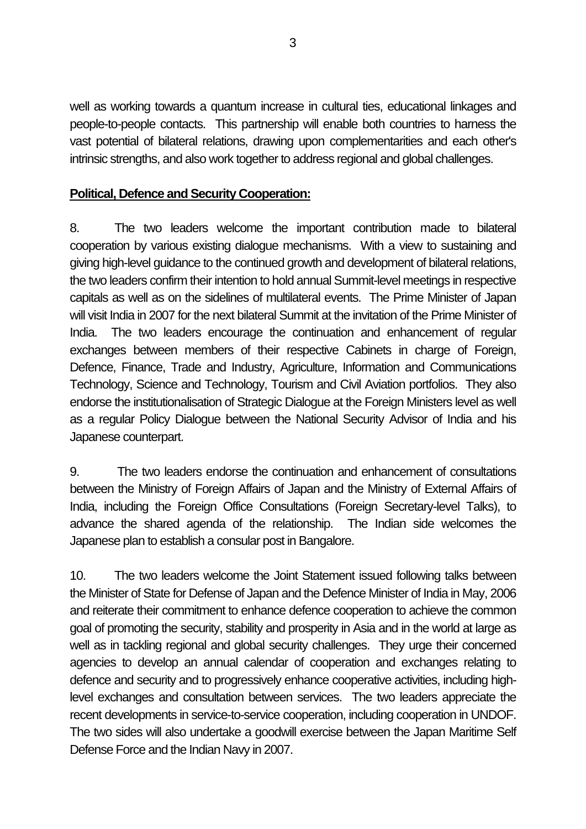well as working towards a quantum increase in cultural ties, educational linkages and people-to-people contacts. This partnership will enable both countries to harness the vast potential of bilateral relations, drawing upon complementarities and each other's intrinsic strengths, and also work together to address regional and global challenges.

### **Political, Defence and Security Cooperation:**

8. The two leaders welcome the important contribution made to bilateral cooperation by various existing dialogue mechanisms. With a view to sustaining and giving high-level guidance to the continued growth and development of bilateral relations, the two leaders confirm their intention to hold annual Summit-level meetings in respective capitals as well as on the sidelines of multilateral events. The Prime Minister of Japan will visit India in 2007 for the next bilateral Summit at the invitation of the Prime Minister of India. The two leaders encourage the continuation and enhancement of regular exchanges between members of their respective Cabinets in charge of Foreign, Defence, Finance, Trade and Industry, Agriculture, Information and Communications Technology, Science and Technology, Tourism and Civil Aviation portfolios. They also endorse the institutionalisation of Strategic Dialogue at the Foreign Ministers level as well as a regular Policy Dialogue between the National Security Advisor of India and his Japanese counterpart.

9. The two leaders endorse the continuation and enhancement of consultations between the Ministry of Foreign Affairs of Japan and the Ministry of External Affairs of India, including the Foreign Office Consultations (Foreign Secretary-level Talks), to advance the shared agenda of the relationship. The Indian side welcomes the Japanese plan to establish a consular post in Bangalore.

10. The two leaders welcome the Joint Statement issued following talks between the Minister of State for Defense of Japan and the Defence Minister of India in May, 2006 and reiterate their commitment to enhance defence cooperation to achieve the common goal of promoting the security, stability and prosperity in Asia and in the world at large as well as in tackling regional and global security challenges. They urge their concerned agencies to develop an annual calendar of cooperation and exchanges relating to defence and security and to progressively enhance cooperative activities, including highlevel exchanges and consultation between services. The two leaders appreciate the recent developments in service-to-service cooperation, including cooperation in UNDOF. The two sides will also undertake a goodwill exercise between the Japan Maritime Self Defense Force and the Indian Navy in 2007.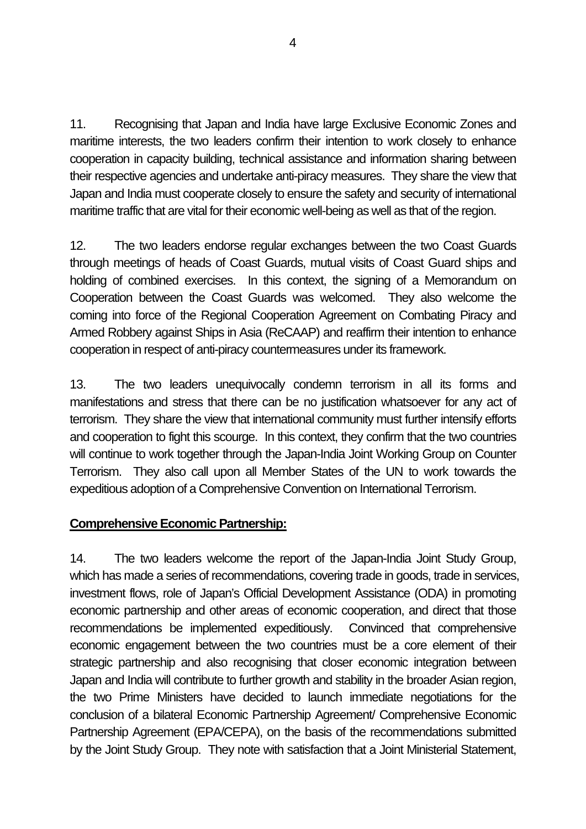11. Recognising that Japan and India have large Exclusive Economic Zones and maritime interests, the two leaders confirm their intention to work closely to enhance cooperation in capacity building, technical assistance and information sharing between their respective agencies and undertake anti-piracy measures. They share the view that Japan and India must cooperate closely to ensure the safety and security of international maritime traffic that are vital for their economic well-being as well as that of the region.

12. The two leaders endorse regular exchanges between the two Coast Guards through meetings of heads of Coast Guards, mutual visits of Coast Guard ships and holding of combined exercises. In this context, the signing of a Memorandum on Cooperation between the Coast Guards was welcomed. They also welcome the coming into force of the Regional Cooperation Agreement on Combating Piracy and Armed Robbery against Ships in Asia (ReCAAP) and reaffirm their intention to enhance cooperation in respect of anti-piracy countermeasures under its framework.

13. The two leaders unequivocally condemn terrorism in all its forms and manifestations and stress that there can be no justification whatsoever for any act of terrorism. They share the view that international community must further intensify efforts and cooperation to fight this scourge. In this context, they confirm that the two countries will continue to work together through the Japan-India Joint Working Group on Counter Terrorism. They also call upon all Member States of the UN to work towards the expeditious adoption of a Comprehensive Convention on International Terrorism.

#### **Comprehensive Economic Partnership:**

14. The two leaders welcome the report of the Japan-India Joint Study Group, which has made a series of recommendations, covering trade in goods, trade in services, investment flows, role of Japan's Official Development Assistance (ODA) in promoting economic partnership and other areas of economic cooperation, and direct that those recommendations be implemented expeditiously.Convinced that comprehensive economic engagement between the two countries must be a core element of their strategic partnership and also recognising that closer economic integration between Japan and India will contribute to further growth and stability in the broader Asian region, the two Prime Ministers have decided to launch immediate negotiations for the conclusion of a bilateral Economic Partnership Agreement/ Comprehensive Economic Partnership Agreement (EPA/CEPA), on the basis of the recommendations submitted by the Joint Study Group. They note with satisfaction that a Joint Ministerial Statement,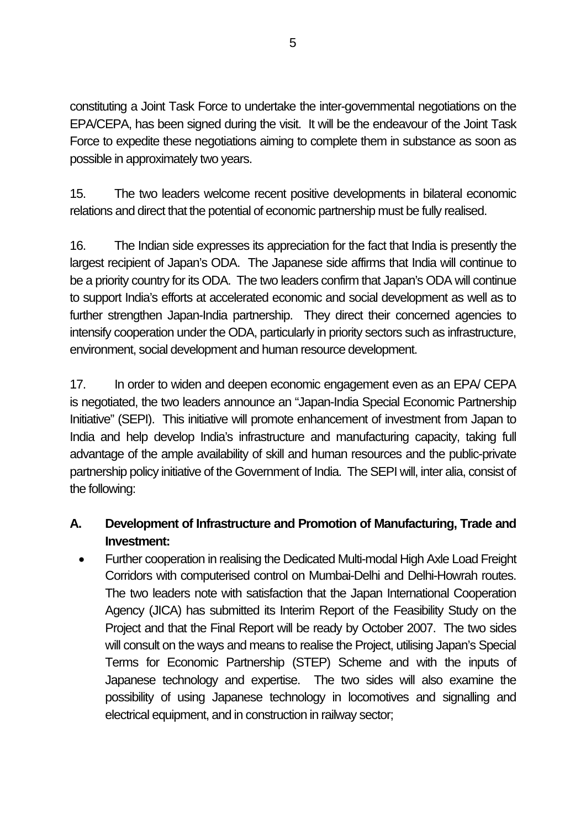constituting a Joint Task Force to undertake the inter-governmental negotiations on the EPA/CEPA, has been signed during the visit. It will be the endeavour of the Joint Task Force to expedite these negotiations aiming to complete them in substance as soon as possible in approximately two years.

15. The two leaders welcome recent positive developments in bilateral economic relations and direct that the potential of economic partnership must be fully realised.

16. The Indian side expresses its appreciation for the fact that India is presently the largest recipient of Japan's ODA. The Japanese side affirms that India will continue to be a priority country for its ODA. The two leaders confirm that Japan's ODA will continue to support India's efforts at accelerated economic and social development as well as to further strengthen Japan-India partnership. They direct their concerned agencies to intensify cooperation under the ODA, particularly in priority sectors such as infrastructure, environment, social development and human resource development.

17. In order to widen and deepen economic engagement even as an EPA/ CEPA is negotiated, the two leaders announce an "Japan-India Special Economic Partnership Initiative" (SEPI). This initiative will promote enhancement of investment from Japan to India and help develop India's infrastructure and manufacturing capacity, taking full advantage of the ample availability of skill and human resources and the public-private partnership policy initiative of the Government of India. The SEPI will, inter alia, consist of the following:

## **A. Development of Infrastructure and Promotion of Manufacturing, Trade and Investment:**

• Further cooperation in realising the Dedicated Multi-modal High Axle Load Freight Corridors with computerised control on Mumbai-Delhi and Delhi-Howrah routes. The two leaders note with satisfaction that the Japan International Cooperation Agency (JICA) has submitted its Interim Report of the Feasibility Study on the Project and that the Final Report will be ready by October 2007. The two sides will consult on the ways and means to realise the Project, utilising Japan's Special Terms for Economic Partnership (STEP) Scheme and with the inputs of Japanese technology and expertise. The two sides will also examine the possibility of using Japanese technology in locomotives and signalling and electrical equipment, and in construction in railway sector;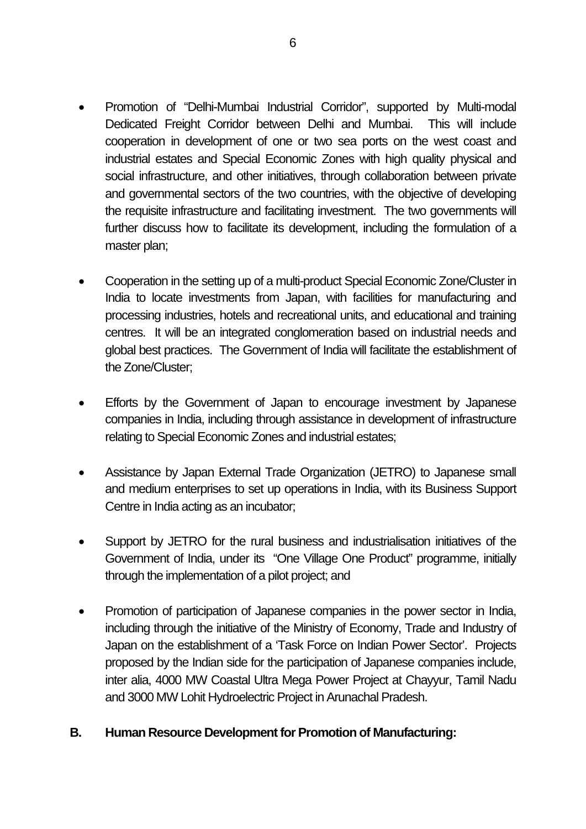- Promotion of "Delhi-Mumbai Industrial Corridor", supported by Multi-modal Dedicated Freight Corridor between Delhi and Mumbai. This will include cooperation in development of one or two sea ports on the west coast and industrial estates and Special Economic Zones with high quality physical and social infrastructure, and other initiatives, through collaboration between private and governmental sectors of the two countries, with the objective of developing the requisite infrastructure and facilitating investment. The two governments will further discuss how to facilitate its development, including the formulation of a master plan;
- Cooperation in the setting up of a multi-product Special Economic Zone/Cluster in India to locate investments from Japan, with facilities for manufacturing and processing industries, hotels and recreational units, and educational and training centres. It will be an integrated conglomeration based on industrial needs and global best practices. The Government of India will facilitate the establishment of the Zone/Cluster;
- Efforts by the Government of Japan to encourage investment by Japanese companies in India, including through assistance in development of infrastructure relating to Special Economic Zones and industrial estates;
- Assistance by Japan External Trade Organization (JETRO) to Japanese small and medium enterprises to set up operations in India, with its Business Support Centre in India acting as an incubator;
- Support by JETRO for the rural business and industrialisation initiatives of the Government of India, under its "One Village One Product" programme, initially through the implementation of a pilot project; and
- Promotion of participation of Japanese companies in the power sector in India, including through the initiative of the Ministry of Economy, Trade and Industry of Japan on the establishment of a 'Task Force on Indian Power Sector'. Projects proposed by the Indian side for the participation of Japanese companies include, inter alia, 4000 MW Coastal Ultra Mega Power Project at Chayyur, Tamil Nadu and 3000 MW Lohit Hydroelectric Project in Arunachal Pradesh.

#### **B. Human Resource Development for Promotion of Manufacturing:**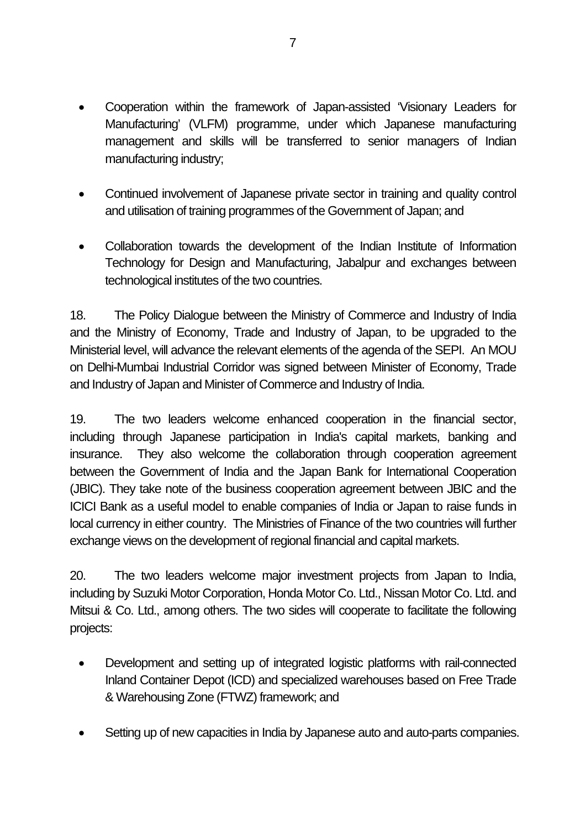- Cooperation within the framework of Japan-assisted 'Visionary Leaders for Manufacturing' (VLFM) programme, under which Japanese manufacturing management and skills will be transferred to senior managers of Indian manufacturing industry;
- Continued involvement of Japanese private sector in training and quality control and utilisation of training programmes of the Government of Japan; and
- Collaboration towards the development of the Indian Institute of Information Technology for Design and Manufacturing, Jabalpur and exchanges between technological institutes of the two countries.

18. The Policy Dialogue between the Ministry of Commerce and Industry of India and the Ministry of Economy, Trade and Industry of Japan, to be upgraded to the Ministerial level, will advance the relevant elements of the agenda of the SEPI. An MOU on Delhi-Mumbai Industrial Corridor was signed between Minister of Economy, Trade and Industry of Japan and Minister of Commerce and Industry of India.

19. The two leaders welcome enhanced cooperation in the financial sector, including through Japanese participation in India's capital markets, banking and insurance. They also welcome the collaboration through cooperation agreement between the Government of India and the Japan Bank for International Cooperation (JBIC). They take note of the business cooperation agreement between JBIC and the ICICI Bank as a useful model to enable companies of India or Japan to raise funds in local currency in either country. The Ministries of Finance of the two countries will further exchange views on the development of regional financial and capital markets.

20. The two leaders welcome major investment projects from Japan to India, including by Suzuki Motor Corporation, Honda Motor Co. Ltd., Nissan Motor Co. Ltd. and Mitsui & Co. Ltd., among others. The two sides will cooperate to facilitate the following projects:

- Development and setting up of integrated logistic platforms with rail-connected Inland Container Depot (ICD) and specialized warehouses based on Free Trade & Warehousing Zone (FTWZ) framework; and
- Setting up of new capacities in India by Japanese auto and auto-parts companies.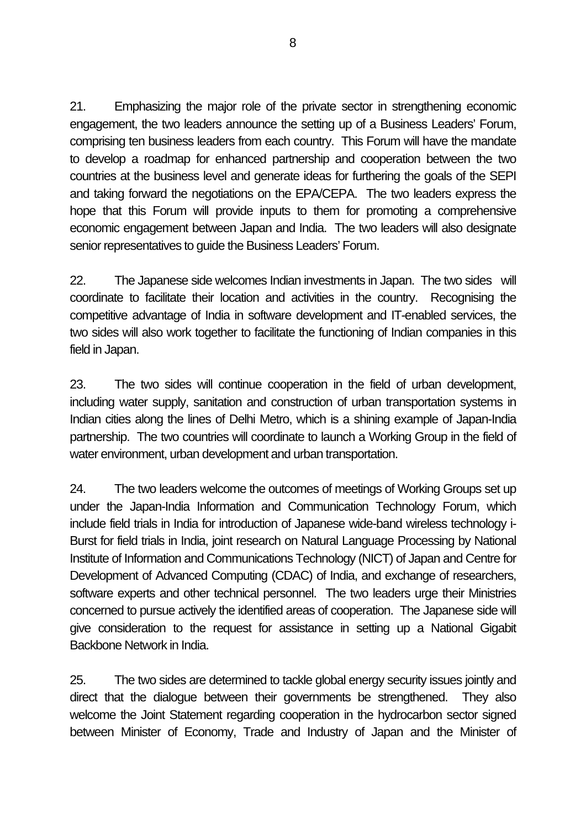21. Emphasizing the major role of the private sector in strengthening economic engagement, the two leaders announce the setting up of a Business Leaders' Forum, comprising ten business leaders from each country. This Forum will have the mandate to develop a roadmap for enhanced partnership and cooperation between the two countries at the business level and generate ideas for furthering the goals of the SEPI and taking forward the negotiations on the EPA/CEPA. The two leaders express the hope that this Forum will provide inputs to them for promoting a comprehensive economic engagement between Japan and India. The two leaders will also designate senior representatives to guide the Business Leaders' Forum.

22. The Japanese side welcomes Indian investments in Japan. The two sides will coordinate to facilitate their location and activities in the country. Recognising the competitive advantage of India in software development and IT-enabled services, the two sides will also work together to facilitate the functioning of Indian companies in this field in Japan.

23. The two sides will continue cooperation in the field of urban development, including water supply, sanitation and construction of urban transportation systems in Indian cities along the lines of Delhi Metro, which is a shining example of Japan-India partnership. The two countries will coordinate to launch a Working Group in the field of water environment, urban development and urban transportation.

24. The two leaders welcome the outcomes of meetings of Working Groups set up under the Japan-India Information and Communication Technology Forum, which include field trials in India for introduction of Japanese wide-band wireless technology i-Burst for field trials in India, joint research on Natural Language Processing by National Institute of Information and Communications Technology (NICT) of Japan and Centre for Development of Advanced Computing (CDAC) of India, and exchange of researchers, software experts and other technical personnel. The two leaders urge their Ministries concerned to pursue actively the identified areas of cooperation. The Japanese side will give consideration to the request for assistance in setting up a National Gigabit Backbone Network in India.

25. The two sides are determined to tackle global energy security issues jointly and direct that the dialogue between their governments be strengthened. They also welcome the Joint Statement regarding cooperation in the hydrocarbon sector signed between Minister of Economy, Trade and Industry of Japan and the Minister of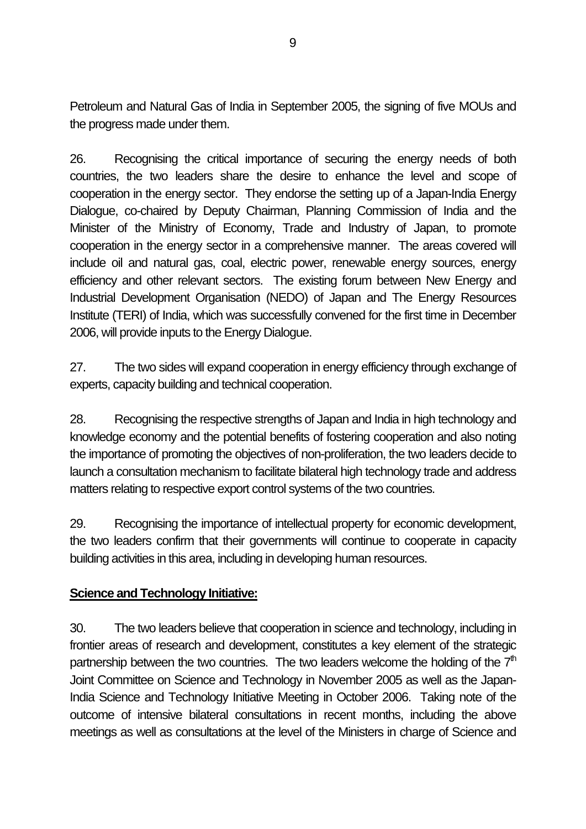Petroleum and Natural Gas of India in September 2005, the signing of five MOUs and the progress made under them.

26. Recognising the critical importance of securing the energy needs of both countries, the two leaders share the desire to enhance the level and scope of cooperation in the energy sector. They endorse the setting up of a Japan-India Energy Dialogue, co-chaired by Deputy Chairman, Planning Commission of India and the Minister of the Ministry of Economy, Trade and Industry of Japan, to promote cooperation in the energy sector in a comprehensive manner. The areas covered will include oil and natural gas, coal, electric power, renewable energy sources, energy efficiency and other relevant sectors. The existing forum between New Energy and Industrial Development Organisation (NEDO) of Japan and The Energy Resources Institute (TERI) of India, which was successfully convened for the first time in December 2006, will provide inputs to the Energy Dialogue.

27. The two sides will expand cooperation in energy efficiency through exchange of experts, capacity building and technical cooperation.

28. Recognising the respective strengths of Japan and India in high technology and knowledge economy and the potential benefits of fostering cooperation and also noting the importance of promoting the objectives of non-proliferation, the two leaders decide to launch a consultation mechanism to facilitate bilateral high technology trade and address matters relating to respective export control systems of the two countries.

29. Recognising the importance of intellectual property for economic development, the two leaders confirm that their governments will continue to cooperate in capacity building activities in this area, including in developing human resources.

#### **Science and Technology Initiative:**

30. The two leaders believe that cooperation in science and technology, including in frontier areas of research and development, constitutes a key element of the strategic partnership between the two countries. The two leaders welcome the holding of the  $7<sup>th</sup>$ Joint Committee on Science and Technology in November 2005 as well as the Japan-India Science and Technology Initiative Meeting in October 2006. Taking note of the outcome of intensive bilateral consultations in recent months, including the above meetings as well as consultations at the level of the Ministers in charge of Science and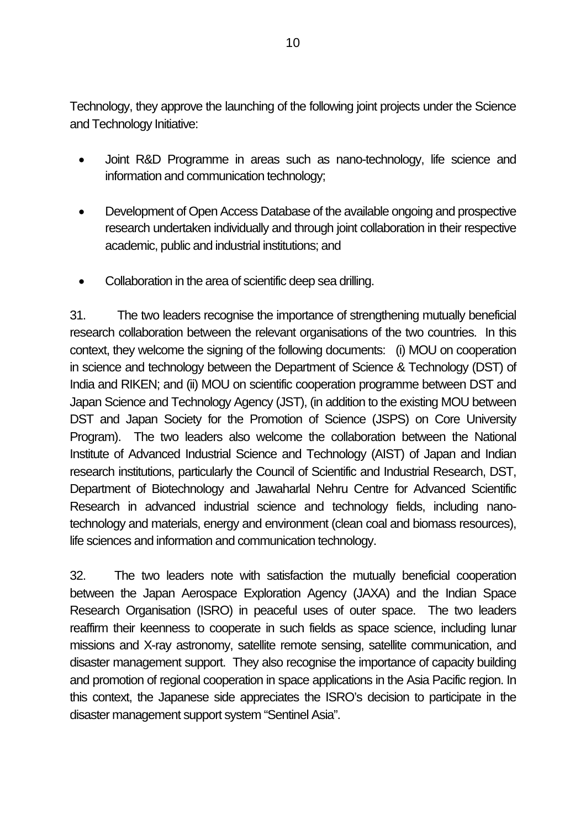Technology, they approve the launching of the following joint projects under the Science and Technology Initiative:

- Joint R&D Programme in areas such as nano-technology, life science and information and communication technology;
- Development of Open Access Database of the available ongoing and prospective research undertaken individually and through joint collaboration in their respective academic, public and industrial institutions; and
- Collaboration in the area of scientific deep sea drilling.

31. The two leaders recognise the importance of strengthening mutually beneficial research collaboration between the relevant organisations of the two countries. In this context, they welcome the signing of the following documents: (i) MOU on cooperation in science and technology between the Department of Science & Technology (DST) of India and RIKEN; and (ii) MOU on scientific cooperation programme between DST and Japan Science and Technology Agency (JST), (in addition to the existing MOU between DST and Japan Society for the Promotion of Science (JSPS) on Core University Program). The two leaders also welcome the collaboration between the National Institute of Advanced Industrial Science and Technology (AIST) of Japan and Indian research institutions, particularly the Council of Scientific and Industrial Research, DST, Department of Biotechnology and Jawaharlal Nehru Centre for Advanced Scientific Research in advanced industrial science and technology fields, including nanotechnology and materials, energy and environment (clean coal and biomass resources), life sciences and information and communication technology.

32. The two leaders note with satisfaction the mutually beneficial cooperation between the Japan Aerospace Exploration Agency (JAXA) and the Indian Space Research Organisation (ISRO) in peaceful uses of outer space. The two leaders reaffirm their keenness to cooperate in such fields as space science, including lunar missions and X-ray astronomy, satellite remote sensing, satellite communication, and disaster management support. They also recognise the importance of capacity building and promotion of regional cooperation in space applications in the Asia Pacific region. In this context, the Japanese side appreciates the ISRO's decision to participate in the disaster management support system "Sentinel Asia".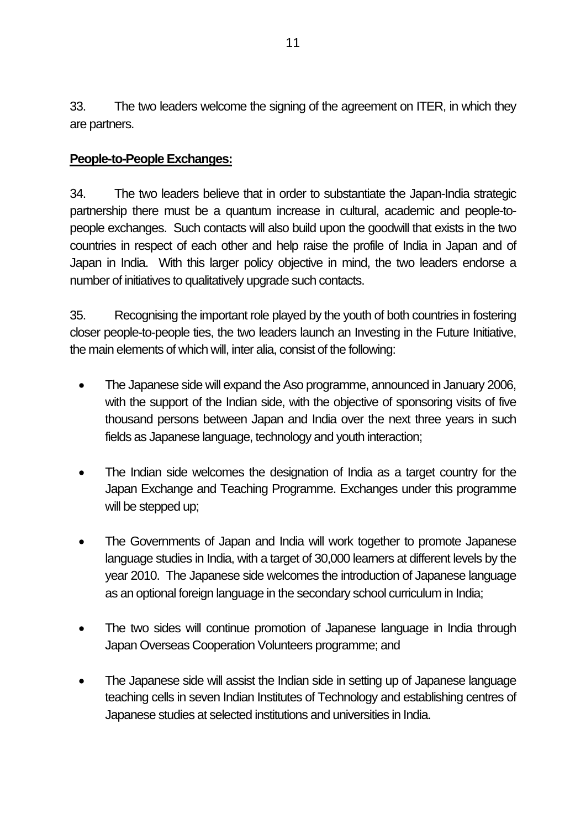33. The two leaders welcome the signing of the agreement on ITER, in which they are partners.

#### **People-to-People Exchanges:**

34. The two leaders believe that in order to substantiate the Japan-India strategic partnership there must be a quantum increase in cultural, academic and people-topeople exchanges. Such contacts will also build upon the goodwill that exists in the two countries in respect of each other and help raise the profile of India in Japan and of Japan in India. With this larger policy objective in mind, the two leaders endorse a number of initiatives to qualitatively upgrade such contacts.

35. Recognising the important role played by the youth of both countries in fostering closer people-to-people ties, the two leaders launch an Investing in the Future Initiative, the main elements of which will, inter alia, consist of the following:

- The Japanese side will expand the Aso programme, announced in January 2006, with the support of the Indian side, with the objective of sponsoring visits of five thousand persons between Japan and India over the next three years in such fields as Japanese language, technology and youth interaction;
- The Indian side welcomes the designation of India as a target country for the Japan Exchange and Teaching Programme. Exchanges under this programme will be stepped up;
- The Governments of Japan and India will work together to promote Japanese language studies in India, with a target of 30,000 learners at different levels by the year 2010. The Japanese side welcomes the introduction of Japanese language as an optional foreign language in the secondary school curriculum in India;
- The two sides will continue promotion of Japanese language in India through Japan Overseas Cooperation Volunteers programme; and
- The Japanese side will assist the Indian side in setting up of Japanese language teaching cells in seven Indian Institutes of Technology and establishing centres of Japanese studies at selected institutions and universities in India.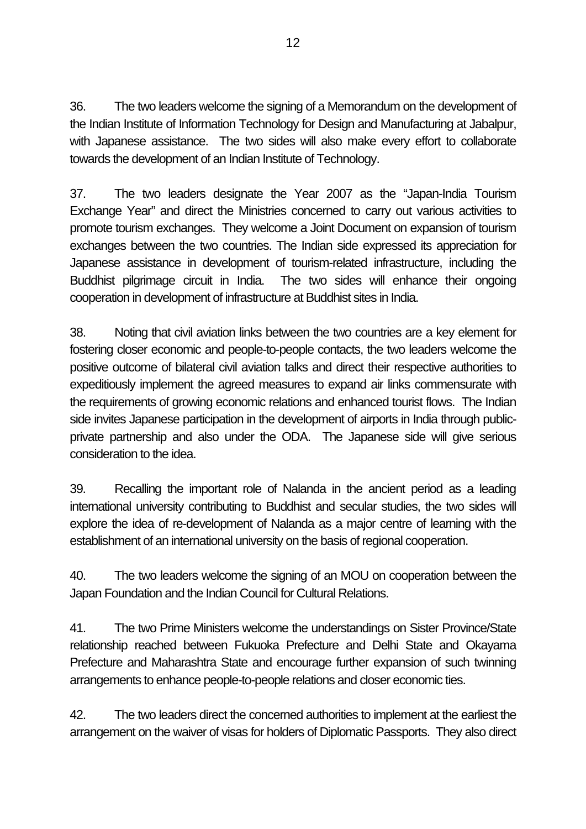36. The two leaders welcome the signing of a Memorandum on the development of the Indian Institute of Information Technology for Design and Manufacturing at Jabalpur, with Japanese assistance. The two sides will also make every effort to collaborate towards the development of an Indian Institute of Technology.

37. The two leaders designate the Year 2007 as the "Japan-India Tourism Exchange Year" and direct the Ministries concerned to carry out various activities to promote tourism exchanges. They welcome a Joint Document on expansion of tourism exchanges between the two countries. The Indian side expressed its appreciation for Japanese assistance in development of tourism-related infrastructure, including the Buddhist pilgrimage circuit in India. The two sides will enhance their ongoing cooperation in development of infrastructure at Buddhist sites in India.

38. Noting that civil aviation links between the two countries are a key element for fostering closer economic and people-to-people contacts, the two leaders welcome the positive outcome of bilateral civil aviation talks and direct their respective authorities to expeditiously implement the agreed measures to expand air links commensurate with the requirements of growing economic relations and enhanced tourist flows. The Indian side invites Japanese participation in the development of airports in India through publicprivate partnership and also under the ODA. The Japanese side will give serious consideration to the idea.

39. Recalling the important role of Nalanda in the ancient period as a leading international university contributing to Buddhist and secular studies, the two sides will explore the idea of re-development of Nalanda as a major centre of learning with the establishment of an international university on the basis of regional cooperation.

40. The two leaders welcome the signing of an MOU on cooperation between the Japan Foundation and the Indian Council for Cultural Relations.

41. The two Prime Ministers welcome the understandings on Sister Province/State relationship reached between Fukuoka Prefecture and Delhi State and Okayama Prefecture and Maharashtra State and encourage further expansion of such twinning arrangements to enhance people-to-people relations and closer economic ties.

42. The two leaders direct the concerned authorities to implement at the earliest the arrangement on the waiver of visas for holders of Diplomatic Passports. They also direct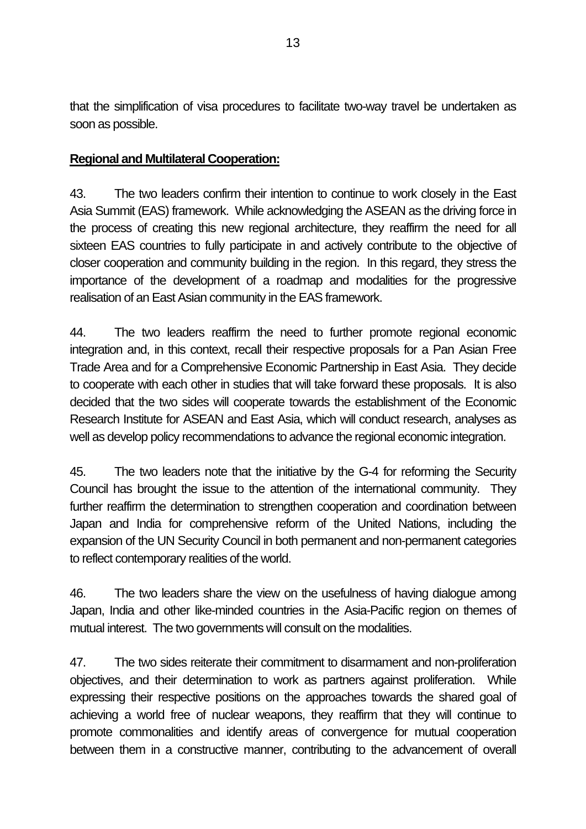that the simplification of visa procedures to facilitate two-way travel be undertaken as soon as possible.

### **Regional and Multilateral Cooperation:**

43. The two leaders confirm their intention to continue to work closely in the East Asia Summit (EAS) framework. While acknowledging the ASEAN as the driving force in the process of creating this new regional architecture, they reaffirm the need for all sixteen EAS countries to fully participate in and actively contribute to the objective of closer cooperation and community building in the region. In this regard, they stress the importance of the development of a roadmap and modalities for the progressive realisation of an East Asian community in the EAS framework.

44. The two leaders reaffirm the need to further promote regional economic integration and, in this context, recall their respective proposals for a Pan Asian Free Trade Area and for a Comprehensive Economic Partnership in East Asia. They decide to cooperate with each other in studies that will take forward these proposals. It is also decided that the two sides will cooperate towards the establishment of the Economic Research Institute for ASEAN and East Asia, which will conduct research, analyses as well as develop policy recommendations to advance the regional economic integration.

45. The two leaders note that the initiative by the G-4 for reforming the Security Council has brought the issue to the attention of the international community. They further reaffirm the determination to strengthen cooperation and coordination between Japan and India for comprehensive reform of the United Nations, including the expansion of the UN Security Council in both permanent and non-permanent categories to reflect contemporary realities of the world.

46. The two leaders share the view on the usefulness of having dialogue among Japan, India and other like-minded countries in the Asia-Pacific region on themes of mutual interest. The two governments will consult on the modalities.

47. The two sides reiterate their commitment to disarmament and non-proliferation objectives, and their determination to work as partners against proliferation. While expressing their respective positions on the approaches towards the shared goal of achieving a world free of nuclear weapons, they reaffirm that they will continue to promote commonalities and identify areas of convergence for mutual cooperation between them in a constructive manner, contributing to the advancement of overall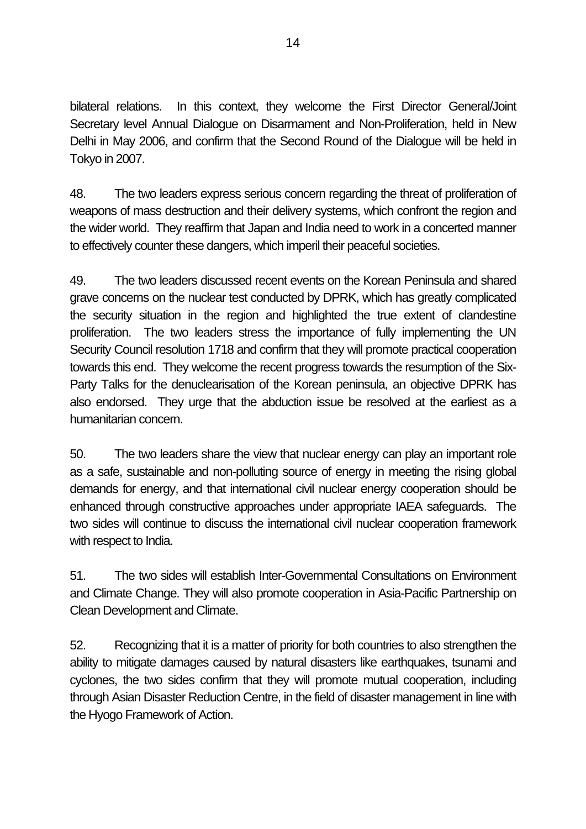bilateral relations. In this context, they welcome the First Director General/Joint Secretary level Annual Dialogue on Disarmament and Non-Proliferation, held in New Delhi in May 2006, and confirm that the Second Round of the Dialogue will be held in Tokyo in 2007.

48. The two leaders express serious concern regarding the threat of proliferation of weapons of mass destruction and their delivery systems, which confront the region and the wider world. They reaffirm that Japan and India need to work in a concerted manner to effectively counter these dangers, which imperil their peaceful societies.

49. The two leaders discussed recent events on the Korean Peninsula and shared grave concerns on the nuclear test conducted by DPRK, which has greatly complicated the security situation in the region and highlighted the true extent of clandestine proliferation. The two leaders stress the importance of fully implementing the UN Security Council resolution 1718 and confirm that they will promote practical cooperation towards this end. They welcome the recent progress towards the resumption of the Six-Party Talks for the denuclearisation of the Korean peninsula, an objective DPRK has also endorsed. They urge that the abduction issue be resolved at the earliest as a humanitarian concern.

50. The two leaders share the view that nuclear energy can play an important role as a safe, sustainable and non-polluting source of energy in meeting the rising global demands for energy, and that international civil nuclear energy cooperation should be enhanced through constructive approaches under appropriate IAEA safeguards. The two sides will continue to discuss the international civil nuclear cooperation framework with respect to India.

51. The two sides will establish Inter-Governmental Consultations on Environment and Climate Change. They will also promote cooperation in Asia-Pacific Partnership on Clean Development and Climate.

52. Recognizing that it is a matter of priority for both countries to also strengthen the ability to mitigate damages caused by natural disasters like earthquakes, tsunami and cyclones, the two sides confirm that they will promote mutual cooperation, including through Asian Disaster Reduction Centre, in the field of disaster management in line with the Hyogo Framework of Action.